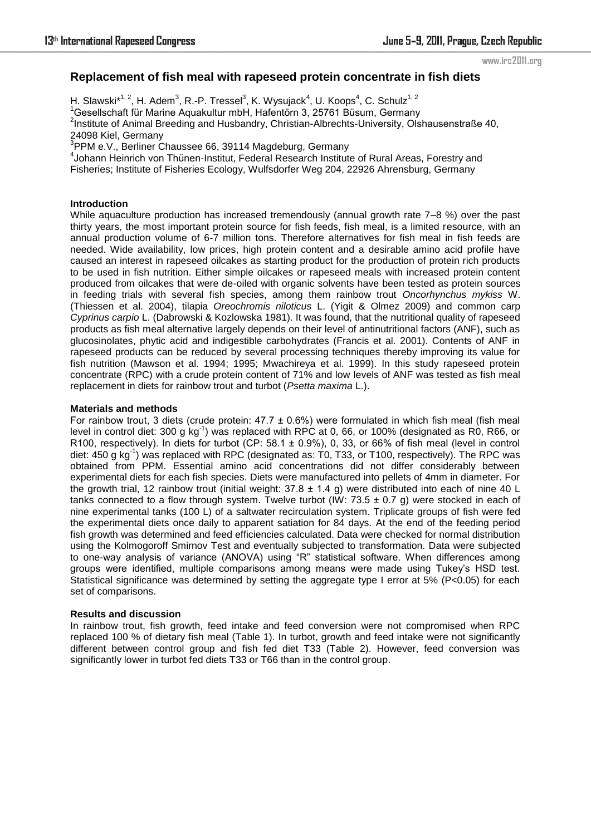www.irc2011.org

# **Replacement of fish meal with rapeseed protein concentrate in fish diets**

H. Slawski $*^{1, 2}$ , H. Adem $^3$ , R.-P. Tressel $^3$ , K. Wysujack $^4$ , U. Koops $^4$ , C. Schulz $^{1, 2}$ 

<sup>1</sup>Gesellschaft für Marine Aquakultur mbH, Hafentörn 3, 25761 Büsum, Germany

<sup>2</sup>Institute of Animal Breeding and Husbandry, Christian-Albrechts-University, Olshausenstraße 40, 24098 Kiel, Germany

3 PPM e.V., Berliner Chaussee 66, 39114 Magdeburg, Germany

4 Johann Heinrich von Thünen-Institut, Federal Research Institute of Rural Areas, Forestry and Fisheries; Institute of Fisheries Ecology, Wulfsdorfer Weg 204, 22926 Ahrensburg, Germany

### **Introduction**

While aquaculture production has increased tremendously (annual growth rate 7–8 %) over the past thirty years, the most important protein source for fish feeds, fish meal, is a limited resource, with an annual production volume of 6-7 million tons. Therefore alternatives for fish meal in fish feeds are needed. Wide availability, low prices, high protein content and a desirable amino acid profile have caused an interest in rapeseed oilcakes as starting product for the production of protein rich products to be used in fish nutrition. Either simple oilcakes or rapeseed meals with increased protein content produced from oilcakes that were de-oiled with organic solvents have been tested as protein sources in feeding trials with several fish species, among them rainbow trout *Oncorhynchus mykiss* W. (Thiessen et al. 2004), tilapia *Oreochromis niloticus* L. (Yigit & Olmez 2009) and common carp *Cyprinus carpio* L. (Dabrowski & Kozlowska 1981). It was found, that the nutritional quality of rapeseed products as fish meal alternative largely depends on their level of antinutritional factors (ANF), such as glucosinolates, phytic acid and indigestible carbohydrates (Francis et al. 2001). Contents of ANF in rapeseed products can be reduced by several processing techniques thereby improving its value for fish nutrition (Mawson et al. 1994; 1995; Mwachireya et al. 1999). In this study rapeseed protein concentrate (RPC) with a crude protein content of 71% and low levels of ANF was tested as fish meal replacement in diets for rainbow trout and turbot (*Psetta maxima* L.).

## **Materials and methods**

For rainbow trout, 3 diets (crude protein:  $47.7 \pm 0.6\%$ ) were formulated in which fish meal (fish meal level in control diet: 300 g kg<sup>-1</sup>) was replaced with RPC at 0, 66, or 100% (designated as R0, R66, or R100, respectively). In diets for turbot (CP:  $58.1 \pm 0.9\%$ ), 0, 33, or 66% of fish meal (level in control diet: 450 g kg<sup>-1</sup>) was replaced with RPC (designated as: T0, T33, or T100, respectively). The RPC was obtained from PPM. Essential amino acid concentrations did not differ considerably between experimental diets for each fish species. Diets were manufactured into pellets of 4mm in diameter. For the growth trial, 12 rainbow trout (initial weight:  $37.8 \pm 1.4$  g) were distributed into each of nine 40 L tanks connected to a flow through system. Twelve turbot (IW:  $73.5 \pm 0.7$  g) were stocked in each of nine experimental tanks (100 L) of a saltwater recirculation system. Triplicate groups of fish were fed the experimental diets once daily to apparent satiation for 84 days. At the end of the feeding period fish growth was determined and feed efficiencies calculated. Data were checked for normal distribution using the Kolmogoroff Smirnov Test and eventually subjected to transformation. Data were subjected to one-way analysis of variance (ANOVA) using "R" statistical software. When differences among groups were identified, multiple comparisons among means were made using Tukey's HSD test. Statistical significance was determined by setting the aggregate type I error at 5% (P<0.05) for each set of comparisons.

#### **Results and discussion**

In rainbow trout, fish growth, feed intake and feed conversion were not compromised when RPC replaced 100 % of dietary fish meal (Table 1). In turbot, growth and feed intake were not significantly different between control group and fish fed diet T33 (Table 2). However, feed conversion was significantly lower in turbot fed diets T33 or T66 than in the control group.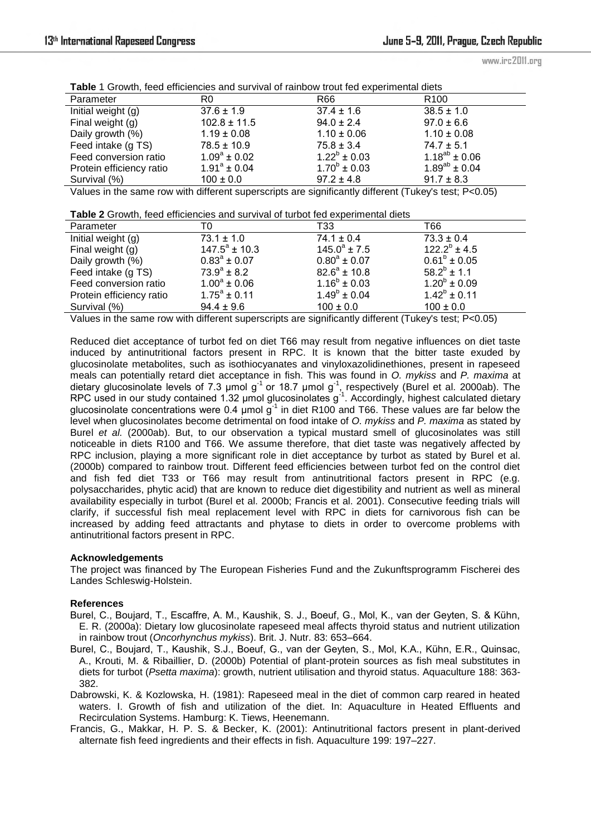www.irc2011.org

**Table** 1 Growth, feed efficiencies and survival of rainbow trout fed experimental diets

| Parameter                | R0                | R66                     | R <sub>100</sub>     |
|--------------------------|-------------------|-------------------------|----------------------|
| Initial weight (g)       | $37.6 \pm 1.9$    | $37.4 \pm 1.6$          | $38.5 \pm 1.0$       |
| Final weight (g)         | $102.8 \pm 11.5$  | $94.0 \pm 2.4$          | $97.0 \pm 6.6$       |
| Daily growth (%)         | $1.19 \pm 0.08$   | $1.10 \pm 0.06$         | $1.10 \pm 0.08$      |
| Feed intake (g TS)       | $78.5 \pm 10.9$   | $75.8 \pm 3.4$          | $74.7 \pm 5.1$       |
| Feed conversion ratio    | $1.09^a \pm 0.02$ | $1.22^b \pm 0.03$       | $1.18^{ab} \pm 0.06$ |
| Protein efficiency ratio | $1.91^a \pm 0.04$ | $1.70^{\circ} \pm 0.03$ | $1.89^{ab} \pm 0.04$ |
| Survival (%)             | $100 \pm 0.0$     | $97.2 \pm 4.8$          | $91.7 \pm 8.3$       |

Values in the same row with different superscripts are significantly different (Tukey's test; P<0.05)

**Table 2** Growth, feed efficiencies and survival of turbot fed experimental diets

| Parameter                | T0                      | T33                     | T66               |
|--------------------------|-------------------------|-------------------------|-------------------|
| Initial weight (g)       | $73.1 \pm 1.0$          | $74.1 \pm 0.4$          | $73.3 \pm 0.4$    |
| Final weight (g)         | $147.5^{\circ}$ ± 10.3  | $145.0^a \pm 7.5$       | $122.2^b \pm 4.5$ |
| Daily growth (%)         | $0.83^{\circ} \pm 0.07$ | $0.80^a \pm 0.07$       | $0.61^b \pm 0.05$ |
| Feed intake (g TS)       | $73.9^{\circ}$ ± 8.2    | $82.6^a \pm 10.8$       | $58.2^b \pm 1.1$  |
| Feed conversion ratio    | $1.00^a \pm 0.06$       | $1.16^b \pm 0.03$       | $1.20^b \pm 0.09$ |
| Protein efficiency ratio | $1.75^a \pm 0.11$       | $1.49^{\circ} \pm 0.04$ | $1.42^b \pm 0.11$ |
| Survival (%)             | $94.4 \pm 9.6$          | $100 \pm 0.0$           | $100 \pm 0.0$     |

Values in the same row with different superscripts are significantly different (Tukey's test; P<0.05)

Reduced diet acceptance of turbot fed on diet T66 may result from negative influences on diet taste induced by antinutritional factors present in RPC. It is known that the bitter taste exuded by glucosinolate metabolites, such as isothiocyanates and vinyloxazolidinethiones, present in rapeseed meals can potentially retard diet acceptance in fish. This was found in *O. mykiss* and *P. maxima* at dietary glucosinolate levels of 7.3 µmol g<sup>-1</sup> or 18.7 µmol g<sup>-1</sup>, respectively (Burel et al. 2000ab). The RPC used in our study contained 1.32  $\mu$ mol glucosinolates g<sup>-1</sup>. Accordingly, highest calculated dietary glucosinolate concentrations were 0.4  $\mu$ mol g<sup>-1</sup> in diet R100 and T66. These values are far below the level when glucosinolates become detrimental on food intake of *O. mykiss* and *P. maxima* as stated by Burel *et al.* (2000ab). But, to our observation a typical mustard smell of glucosinolates was still noticeable in diets R100 and T66. We assume therefore, that diet taste was negatively affected by RPC inclusion, playing a more significant role in diet acceptance by turbot as stated by Burel et al. (2000b) compared to rainbow trout. Different feed efficiencies between turbot fed on the control diet and fish fed diet T33 or T66 may result from antinutritional factors present in RPC (e.g. polysaccharides, phytic acid) that are known to reduce diet digestibility and nutrient as well as mineral availability especially in turbot (Burel et al. 2000b; Francis et al. 2001). Consecutive feeding trials will clarify, if successful fish meal replacement level with RPC in diets for carnivorous fish can be increased by adding feed attractants and phytase to diets in order to overcome problems with antinutritional factors present in RPC.

#### **Acknowledgements**

The project was financed by The European Fisheries Fund and the Zukunftsprogramm Fischerei des Landes Schleswig-Holstein.

#### **References**

- Burel, C., Boujard, T., Escaffre, A. M., Kaushik, S. J., Boeuf, G., Mol, K., van der Geyten, S. & Kühn, E. R. (2000a): Dietary low glucosinolate rapeseed meal affects thyroid status and nutrient utilization in rainbow trout (*Oncorhynchus mykiss*). Brit. J. Nutr. 83: 653–664.
- Burel, C., Boujard, T., Kaushik, S.J., Boeuf, G., van der Geyten, S., Mol, K.A., Kühn, E.R., Quinsac, A., Krouti, M. & Ribaillier, D. (2000b) Potential of plant-protein sources as fish meal substitutes in diets for turbot (*Psetta maxima*): growth, nutrient utilisation and thyroid status. Aquaculture 188: 363- 382.
- Dabrowski, K. & Kozlowska, H. (1981): Rapeseed meal in the diet of common carp reared in heated waters. I. Growth of fish and utilization of the diet. In: Aquaculture in Heated Effluents and Recirculation Systems. Hamburg: K. Tiews, Heenemann.
- Francis, G., Makkar, H. P. S. & Becker, K. (2001): Antinutritional factors present in plant-derived alternate fish feed ingredients and their effects in fish. Aquaculture 199: 197–227.